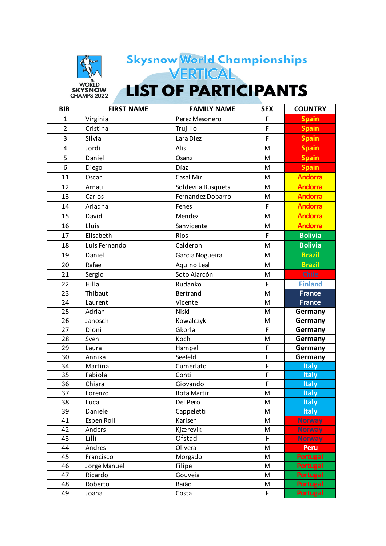

## Skysnow World Championships<br>
VERTICAL<br>
LIST OF PARTICIPANTS

| <b>BIB</b>              | <b>FIRST NAME</b> | <b>FAMILY NAME</b> | <b>SEX</b>          | <b>COUNTRY</b>        |
|-------------------------|-------------------|--------------------|---------------------|-----------------------|
| 1                       | Virginia          | Perez Mesonero     | F                   | <b>Spain</b>          |
| $\overline{2}$          | Cristina          | Trujillo           | F                   | <b>Spain</b>          |
| 3                       | Silvia            | Lara Diez          | F                   | <b>Spain</b>          |
| $\overline{\mathbf{4}}$ | Jordi             | Alis               | M                   | <b>Spain</b>          |
| 5                       | Daniel            | Osanz              | M                   | <b>Spain</b>          |
| 6                       | Diego             | Díaz               | M                   | <b>Spain</b>          |
| 11                      | Oscar             | Casal Mir          | M                   | <b>Andorra</b>        |
| 12                      | Arnau             | Soldevila Busquets | M                   | <b>Andorra</b>        |
| 13                      | Carlos            | Fernandez Dobarro  | M                   | <b>Andorra</b>        |
| 14                      | Ariadna           | Fenes              | F                   | <b>Andorra</b>        |
| 15                      | David             | Mendez             | M                   | <b>Andorra</b>        |
| 16                      | Lluis             | Sanvicente         | M                   | <b>Andorra</b>        |
| 17                      | Elisabeth         | Rios               | $\mathsf F$         | <b>Bolivia</b>        |
| 18                      | Luis Fernando     | Calderon           | M                   | <b>Bolivia</b>        |
| 19                      | Daniel            | Garcia Nogueira    | M                   | <b>Brazil</b>         |
| 20                      | Rafael            | Aquino Leal        | M                   | <b>Brazil</b>         |
| 21                      | Sergio            | Soto Alarcón       | M                   | <b>Chile</b>          |
| 22                      | Hilla             | Rudanko            | F                   | <b>Finland</b>        |
| 23                      | Thibaut           | <b>Bertrand</b>    | M                   | <b>France</b>         |
| 24                      | Laurent           | Vicente            | M                   | <b>France</b>         |
| 25                      | Adrian            | Niski              | M                   | Germany               |
| 26                      | Janosch           | Kowalczyk          | M                   | Germany               |
| 27                      | Dioni             | Gkorla             | F                   | Germany               |
| 28                      | Sven              | Koch               | M                   | Germany               |
| 29                      | Laura             | Hampel             | $\mathsf F$         | Germany               |
| 30                      | Annika            | Seefeld            | F                   | Germany               |
| 34                      | Martina           | Cumerlato          | $\overline{F}$      | <b>Italy</b>          |
| 35                      | Fabiola           | Conti              | $\mathsf F$         | <b>Italy</b>          |
| 36                      | Chiara            | Giovando           | $\overline{F}$      | <b>Italy</b>          |
| 37                      | Lorenzo           | Rota Martir        | M                   | <b>Italy</b>          |
| 38                      | Luca              | Del Pero           | M                   | <b>Italy</b>          |
| 39                      | Daniele           | Cappeletti         | M                   | <b>Italy</b>          |
| 41                      | Espen Roll        | Karlsen            | M                   | <b>Norway</b>         |
| 42<br>43                | Anders<br>Lilli   | Kjærevik<br>Ofstad | M<br>$\overline{F}$ | <b>Norway</b>         |
| 44                      | Andres            | Olivera            | ${\sf M}$           | <b>Norway</b><br>Peru |
| 45                      | Francisco         | Morgado            | M                   | Portugal              |
| 46                      | Jorge Manuel      | Filipe             | M                   | <b>Portugal</b>       |
| 47                      | Ricardo           | Gouveia            | M                   | <b>Portugal</b>       |
| 48                      | Roberto           | Baião              | M                   | <b>Portugal</b>       |
| 49                      | Joana             | Costa              | F                   | <b>Portugal</b>       |